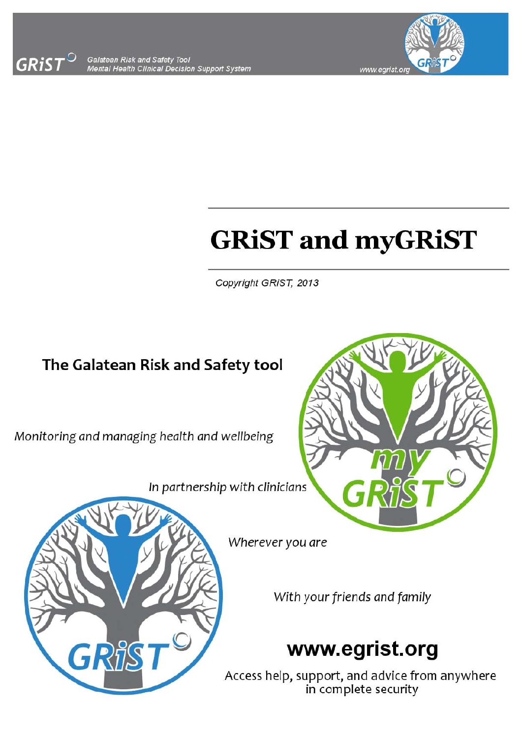

Galatean Risk and Safety Tool<br>Mental Health Clinical Decision Support System



# **GRiST and myGRiST**

Copyright GRIST, 2013

### The Galatean Risk and Safety tool

Monitoring and managing health and wellbeing

In partnership with clinicians





Wherever you are

With your friends and family

### www.egrist.org

Access help, support, and advice from anywhere in complete security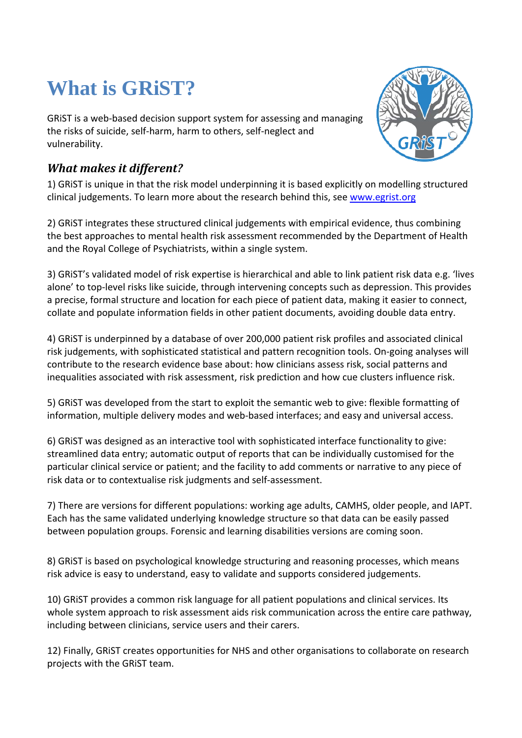## **What is GRiST?**

GRiST is a web‐based decision support system for assessing and managing the risks of suicide, self‐harm, harm to others, self‐neglect and vulnerability.

#### *What makes it different?*

1) GRiST is unique in that the risk model underpinning it is based explicitly on modelling structured clinical judgements. To learn more about the research behind this, see www.egrist.org

2) GRiST integrates these structured clinical judgements with empirical evidence, thus combining the best approaches to mental health risk assessment recommended by the Department of Health and the Royal College of Psychiatrists, within a single system.

3) GRiST's validated model of risk expertise is hierarchical and able to link patient risk data e.g. 'lives alone' to top‐level risks like suicide, through intervening concepts such as depression. This provides a precise, formal structure and location for each piece of patient data, making it easier to connect, collate and populate information fields in other patient documents, avoiding double data entry.

4) GRiST is underpinned by a database of over 200,000 patient risk profiles and associated clinical risk judgements, with sophisticated statistical and pattern recognition tools. On‐going analyses will contribute to the research evidence base about: how clinicians assess risk, social patterns and inequalities associated with risk assessment, risk prediction and how cue clusters influence risk.

5) GRiST was developed from the start to exploit the semantic web to give: flexible formatting of information, multiple delivery modes and web-based interfaces; and easy and universal access.

6) GRiST was designed as an interactive tool with sophisticated interface functionality to give: streamlined data entry; automatic output of reports that can be individually customised for the particular clinical service or patient; and the facility to add comments or narrative to any piece of risk data or to contextualise risk judgments and self‐assessment.

7) There are versions for different populations: working age adults, CAMHS, older people, and IAPT. Each has the same validated underlying knowledge structure so that data can be easily passed between population groups. Forensic and learning disabilities versions are coming soon.

8) GRiST is based on psychological knowledge structuring and reasoning processes, which means risk advice is easy to understand, easy to validate and supports considered judgements.

10) GRiST provides a common risk language for all patient populations and clinical services. Its whole system approach to risk assessment aids risk communication across the entire care pathway, including between clinicians, service users and their carers.

12) Finally, GRiST creates opportunities for NHS and other organisations to collaborate on research projects with the GRiST team.

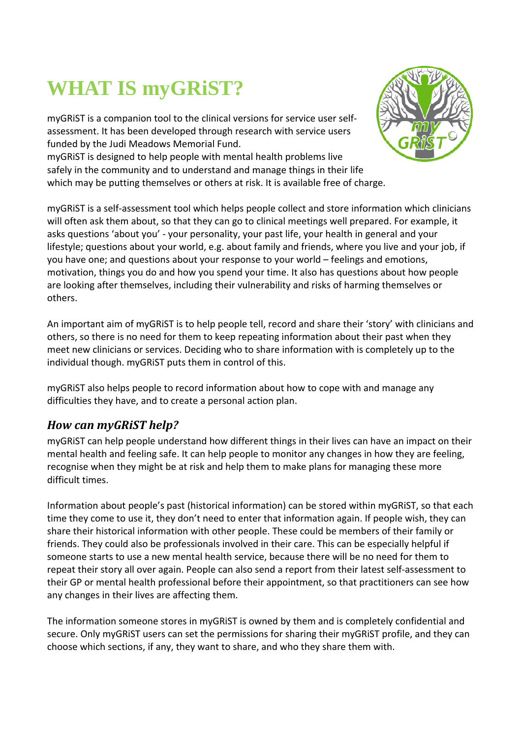## **WHAT IS myGRiST?**

myGRiST is a companion tool to the clinical versions for service user self‐ assessment. It has been developed through research with service users funded by the Judi Meadows Memorial Fund.

myGRiST is designed to help people with mental health problems live safely in the community and to understand and manage things in their life which may be putting themselves or others at risk. It is available free of charge.

myGRiST is a self‐assessment tool which helps people collect and store information which clinicians will often ask them about, so that they can go to clinical meetings well prepared. For example, it asks questions 'about you' ‐ your personality, your past life, your health in general and your lifestyle; questions about your world, e.g. about family and friends, where you live and your job, if you have one; and questions about your response to your world – feelings and emotions, motivation, things you do and how you spend your time. It also has questions about how people are looking after themselves, including their vulnerability and risks of harming themselves or others.

An important aim of myGRiST is to help people tell, record and share their 'story' with clinicians and others, so there is no need for them to keep repeating information about their past when they meet new clinicians or services. Deciding who to share information with is completely up to the individual though. myGRiST puts them in control of this.

myGRiST also helps people to record information about how to cope with and manage any difficulties they have, and to create a personal action plan.

#### *How can myGRiST help?*

myGRiST can help people understand how different things in their lives can have an impact on their mental health and feeling safe. It can help people to monitor any changes in how they are feeling, recognise when they might be at risk and help them to make plans for managing these more difficult times.

Information about people's past (historical information) can be stored within myGRiST, so that each time they come to use it, they don't need to enter that information again. If people wish, they can share their historical information with other people. These could be members of their family or friends. They could also be professionals involved in their care. This can be especially helpful if someone starts to use a new mental health service, because there will be no need for them to repeat their story all over again. People can also send a report from their latest self‐assessment to their GP or mental health professional before their appointment, so that practitioners can see how any changes in their lives are affecting them.

The information someone stores in myGRiST is owned by them and is completely confidential and secure. Only myGRiST users can set the permissions for sharing their myGRiST profile, and they can choose which sections, if any, they want to share, and who they share them with.